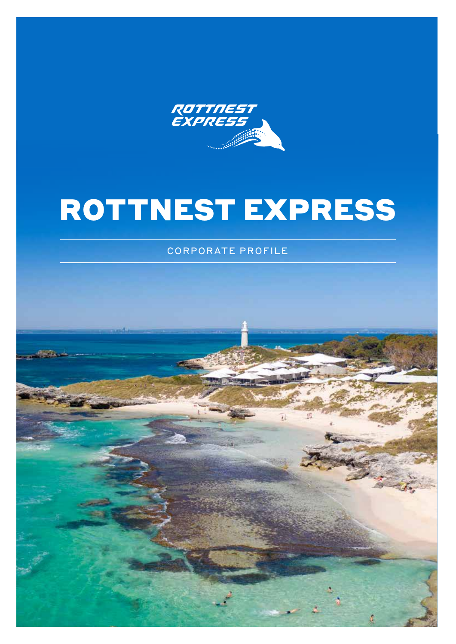

# ROTTNEST EXPRESS

CORPORATE PROFILE

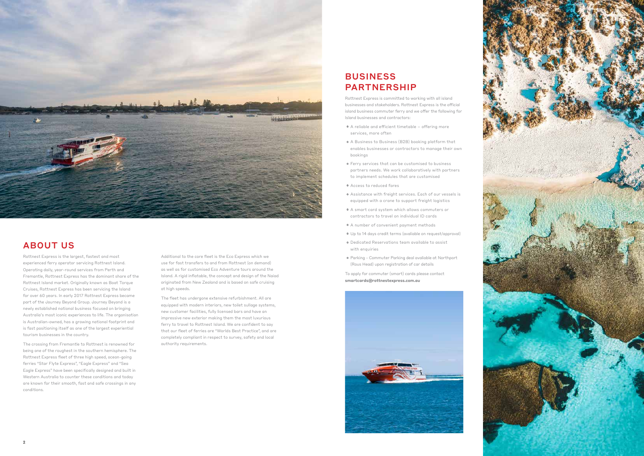



## ABOUT US

Rottnest Express is the largest, fastest and most experienced ferry operator servicing Rottnest Island. Operating daily, year-round services from Perth and Fremantle, Rottnest Express has the dominant share of the Rottnest Island market. Originally known as Boat Torque Cruises, Rottnest Express has been servicing the Island for over 60 years. In early 2017 Rottnest Express became part of the Journey Beyond Group. Journey Beyond is a newly established national business focused on bringing Australia's most iconic experiences to life. The organisation is Australian-owned, has a growing national footprint and is fast positioning itself as one of the largest experiential tourism businesses in the country.

## **BUSINESS** PARTNERSHIP

The crossing from Fremantle to Rottnest is renowned for being one of the roughest in the southern hemisphere. The Rottnest Express fleet of three high speed, ocean-going ferries "Star Flyte Express", "Eagle Express" and "Sea Eagle Express" have been specifically designed and built in Western Australia to counter these conditions and today are known for their smooth, fast and safe crossings in any conditions.

Rottnest Express is committed to working with all island businesses and stakeholders. Rottnest Express is the official island business commuter ferry and we offer the following for Island businesses and contractors:

- oA reliable and efficient timetable offering more services, more often
- oA Business to Business (B2B) booking platform that enables businesses or contractors to manage their own bookings
- oFerry services that can be customised to business partners needs. We work collaboratively with partners to implement schedules that are customised
- oAccess to reduced fares
- oAssistance with freight services. Each of our vessels is equipped with a crane to support freight logistics
- oA smart card system which allows commuters or contractors to travel on individual ID cards
- oA number of convenient payment methods
- oUp to 14 days credit terms (avaliable on request/approval)
- oDedicated Reservations team available to assist with enquiries
- oParking Commuter Parking deal avaliable at Northport (Rous Head) upon registration of car details

To apply for commuter (smart) cards please contact [smartcards@rottnestexpress.com.au](mailto:smartcards%40rottnestexpress.com.au%20?subject=) 



Additional to the core fleet is the Eco Express which we use for fast transfers to and from Rottnest (on demand) as well as for customised Eco Adventure tours around the Island. A rigid inflatable, the concept and design of the Naiad originated from New Zealand and is based on safe cruising at high speeds.

The fleet has undergone extensive refurbishment. All are equipped with modern interiors, new toilet sullage systems, new customer facilities, fully licensed bars and have an impressive new exterior making them the most luxurious ferry to travel to Rottnest Island. We are confident to say that our fleet of ferries are "Worlds Best Practice", and are completely compliant in respect to survey, safety and local authority requirements.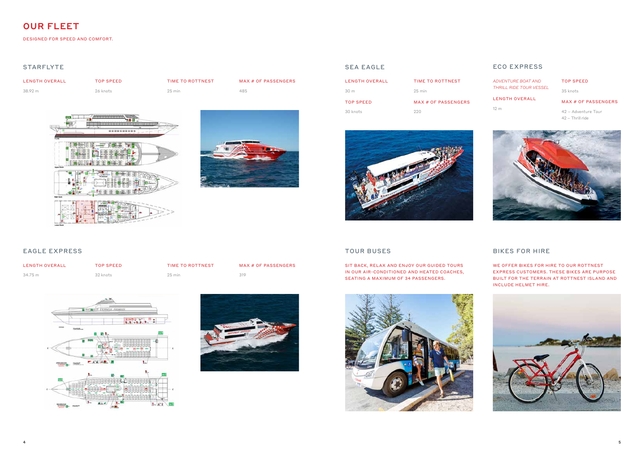### SEA EAGLE ECO EXPRESS

### STARFLYTE

### EAGLE EXPRESS

## OUR FLEET

DESIGNED FOR SPEED AND COMFORT.

| LENGTH OVERALL | TOP SPEED | TIME TO ROTTNEST | MAX # OF PASSENGERS |
|----------------|-----------|------------------|---------------------|
| 38.92 m        | 26 knots  | $25 \text{ min}$ | 485                 |





| LENGTH OVERALL | TOP SPFFD | TIME TO ROTTNEST | MAX # OF PASSENGERS |
|----------------|-----------|------------------|---------------------|
| 34.75 m        | 32 knots  | $25 \text{ min}$ | 319                 |





SIT BACK, RELAX AND ENJOY OUR GUIDED TOURS IN OUR AIR-CONDITIONED AND HEATED COACHES, SEATING A MAXIMUM OF 34 PASSENGERS.

| LENGTH OVERALL | TIME TO ROTTNEST    |
|----------------|---------------------|
| 30 m           | $25 \text{ min}$    |
| TOP SPEED      | MAX # OF PASSFNGFRS |
| 30 knots       | 220                 |





*ADVENTURE BOAT AND THRILL RIDE TOUR VESSEL*

LENGTH OVERALL

12 m

#### TOP SPEED

35 knots

#### MAX # OF PASSENGERS

42 – Adventure Tour 42 – Thrill ride



## TOUR BUSES BIKES FOR HIRE

WE OFFER BIKES FOR HIRE TO OUR ROTTNEST EXPRESS CUSTOMERS. THESE BIKES ARE PURPOSE BUILT FOR THE TERRAIN AT ROTTNEST ISLAND AND INCLUDE HELMET HIRE.

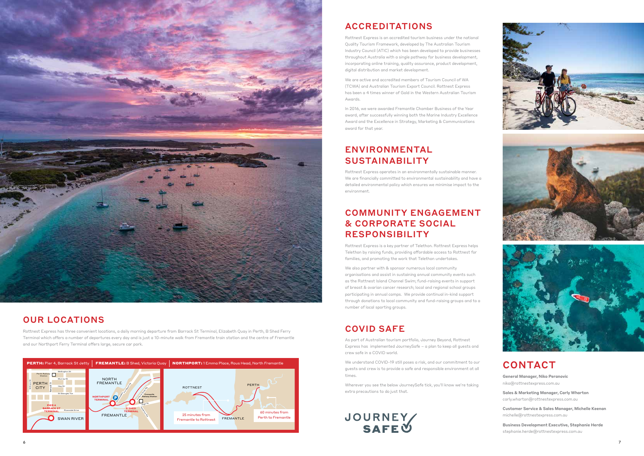



## OUR LOCATIONS

Rottnest Express has three convenient locations, a daily morning departure from Barrack St Terminal, Elizabeth Quay in Perth, B Shed Ferry Terminal which offers a number of departures every day and is just a 10-minute walk from Fremantle train station and the centre of Fremantle and our Northport Ferry Terminal offers large, secure car park.

# ACCREDITATIONS

We also partner with & sponsor numerous local community organisations and assist in sustaining annual community events such as the Rottnest Island Channel Swim; fund-raising events in support of breast & ovarian cancer research; local and regional school groups participating in annual camps. We provide continual in-kind support through donations to local community and fund-raising groups and to a number of local sporting groups.

Rottnest Express is an accredited tourism business under the national Quality Tourism Framework, developed by The Australian Tourism Industry Council (ATIC) which has been developed to provide businesses throughout Australia with a single pathway for business development, incorporating online training, quality assurance, product development, digital distribution and market development.

We are active and accredited members of Tourism Council of WA (TCWA) and Australian Tourism Export Council. Rottnest Express has been a 4 times winner of Gold in the Western Australian Tourism Awards.

In 2016, we were awarded Fremantle Chamber Business of the Year award, after successfully winning both the Marine Industry Excellence Award and the Excellence in Strategy, Marketing & Communications award for that year.

## ENVIRONMENTAL SUSTAINABILITY

Rottnest Express operates in an environmentally sustainable manner. We are financially committed to environmental sustainability and have a detailed environmental policy which ensures we minimise impact to the environment.

## COMMUNITY ENGAGEMENT & CORPORATE SOCIAL RESPONSIBILITY

Rottnest Express is a key partner of Telethon. Rottnest Express helps Telethon by raising funds, providing affordable access to Rottnest for families, and promoting the work that Telethon undertakes.

## COVID SAFE

As part of Australian tourism portfolio, Journey Beyond, Rottnest Express has implemented JourneySafe – a plan to keep all guests and crew safe in a COVID world.

We understand COVID-19 still poses a risk, and our commitment to our guests and crew is to provide a safe and responsible environment at all times.

Wherever you see the below JourneySafe tick, you'll know we're taking extra precautions to do just that.





## CONTACT

General Manager, Niko Peranovic [niko@rottnestexpress.com.au](mailto:niko%40rottnestexpress.com.au?subject=)

Sales & Marketing Manager, Carly Wharton [carly.wharton@rottnestexpress.com.au](mailto:carly.wharton%40rottnestexpress.com.au?subject=)

Customer Service & Sales Manager, Michelle Keenan [michelle@rottnestexpress.com.au](mailto:michelle%40rottnestexpress.com.au?subject=)

Business Development Executive, Stephanie Herde [stephanie.herde@rottnestexpress.com.au](mailto:stephanie.herde%40rottnestexpress.com.au?subject=)